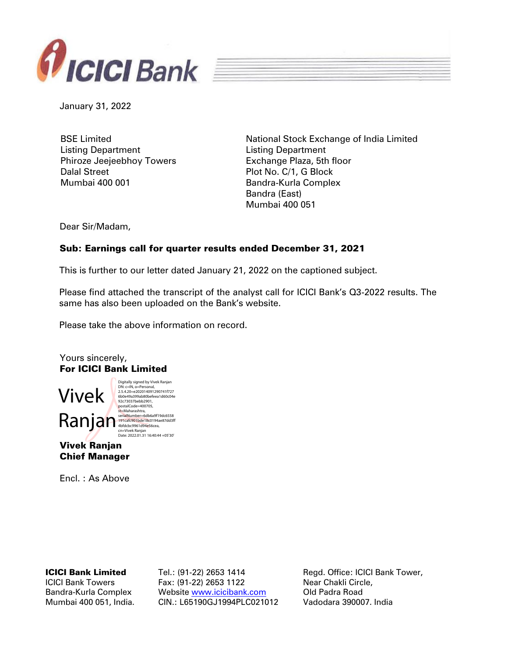



January 31, 2022

BSE Limited Listing Department Phiroze Jeejeebhoy Towers Dalal Street Mumbai 400 001

National Stock Exchange of India Limited Listing Department Exchange Plaza, 5th floor Plot No. C/1, G Block Bandra-Kurla Complex Bandra (East) Mumbai 400 051

Dear Sir/Madam,

# Sub: Earnings call for quarter results ended December 31, 2021

This is further to our letter dated January 21, 2022 on the captioned subject.

Please find attached the transcript of the analyst call for ICICI Bank's Q3-2022 results. The same has also been uploaded on the Bank's website.

Please take the above information on record.

Yours sincerely, For ICICI Bank Limited



DN: c=IN, o=Personal,<br>2.5.4.20=e202014091290741f727<br>6b0e49a399ab80befeea1d60c04e<br>92c73037bebb2901,

Vivek Ranjan Chief Manager

Encl. : As Above

ICICI Bank Limited

ICICI Bank Towers Bandra-Kurla Complex Mumbai 400 051, India. Tel.: (91-22) 2653 1414 Fax: (91-22) 2653 1122 Website [www.icicibank.com](http://www.icicibank.com/) CIN.: L65190GJ1994PLC021012 Regd. Office: ICICI Bank Tower, Near Chakli Circle, Old Padra Road Vadodara 390007. India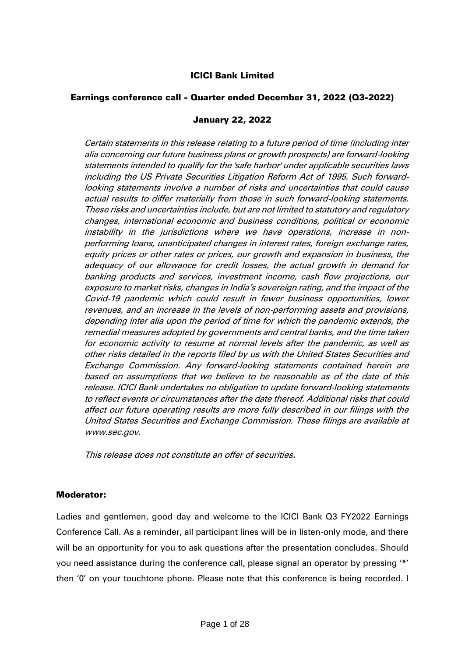# ICICI Bank Limited

# Earnings conference call - Quarter ended December 31, 2022 (Q3-2022)

#### January 22, 2022

Certain statements in this release relating to a future period of time (including inter alia concerning our future business plans or growth prospects) are forward-looking statements intended to qualify for the 'safe harbor' under applicable securities laws including the US Private Securities Litigation Reform Act of 1995. Such forwardlooking statements involve a number of risks and uncertainties that could cause actual results to differ materially from those in such forward-looking statements. These risks and uncertainties include, but are not limited to statutory and regulatory changes, international economic and business conditions, political or economic instability in the jurisdictions where we have operations, increase in nonperforming loans, unanticipated changes in interest rates, foreign exchange rates, equity prices or other rates or prices, our growth and expansion in business, the adequacy of our allowance for credit losses, the actual growth in demand for banking products and services, investment income, cash flow projections, our exposure to market risks, changes in India's sovereign rating, and the impact of the Covid-19 pandemic which could result in fewer business opportunities, lower revenues, and an increase in the levels of non-performing assets and provisions, depending inter alia upon the period of time for which the pandemic extends, the remedial measures adopted by governments and central banks, and the time taken for economic activity to resume at normal levels after the pandemic, as well as other risks detailed in the reports filed by us with the United States Securities and Exchange Commission. Any forward-looking statements contained herein are based on assumptions that we believe to be reasonable as of the date of this release. ICICI Bank undertakes no obligation to update forward-looking statements to reflect events or circumstances after the date thereof. Additional risks that could affect our future operating results are more fully described in our filings with the United States Securities and Exchange Commission. These filings are available at www.sec.gov.

This release does not constitute an offer of securities.

#### Moderator:

Ladies and gentlemen, good day and welcome to the ICICI Bank Q3 FY2022 Earnings Conference Call. As a reminder, all participant lines will be in listen-only mode, and there will be an opportunity for you to ask questions after the presentation concludes. Should you need assistance during the conference call, please signal an operator by pressing '\*' then '0' on your touchtone phone. Please note that this conference is being recorded. I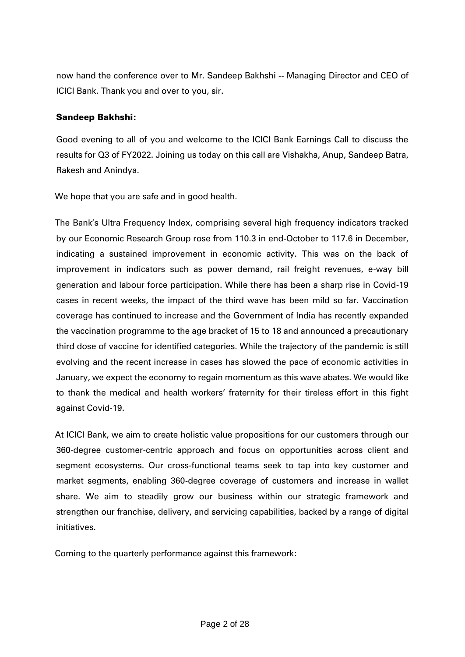now hand the conference over to Mr. Sandeep Bakhshi -- Managing Director and CEO of ICICI Bank. Thank you and over to you, sir.

# Sandeep Bakhshi:

Good evening to all of you and welcome to the ICICI Bank Earnings Call to discuss the results for Q3 of FY2022. Joining us today on this call are Vishakha, Anup, Sandeep Batra, Rakesh and Anindya.

We hope that you are safe and in good health.

The Bank's Ultra Frequency Index, comprising several high frequency indicators tracked by our Economic Research Group rose from 110.3 in end-October to 117.6 in December, indicating a sustained improvement in economic activity. This was on the back of improvement in indicators such as power demand, rail freight revenues, e-way bill generation and labour force participation. While there has been a sharp rise in Covid-19 cases in recent weeks, the impact of the third wave has been mild so far. Vaccination coverage has continued to increase and the Government of India has recently expanded the vaccination programme to the age bracket of 15 to 18 and announced a precautionary third dose of vaccine for identified categories. While the trajectory of the pandemic is still evolving and the recent increase in cases has slowed the pace of economic activities in January, we expect the economy to regain momentum as this wave abates. We would like to thank the medical and health workers' fraternity for their tireless effort in this fight against Covid-19.

At ICICI Bank, we aim to create holistic value propositions for our customers through our 360-degree customer-centric approach and focus on opportunities across client and segment ecosystems. Our cross-functional teams seek to tap into key customer and market segments, enabling 360-degree coverage of customers and increase in wallet share. We aim to steadily grow our business within our strategic framework and strengthen our franchise, delivery, and servicing capabilities, backed by a range of digital initiatives.

Coming to the quarterly performance against this framework: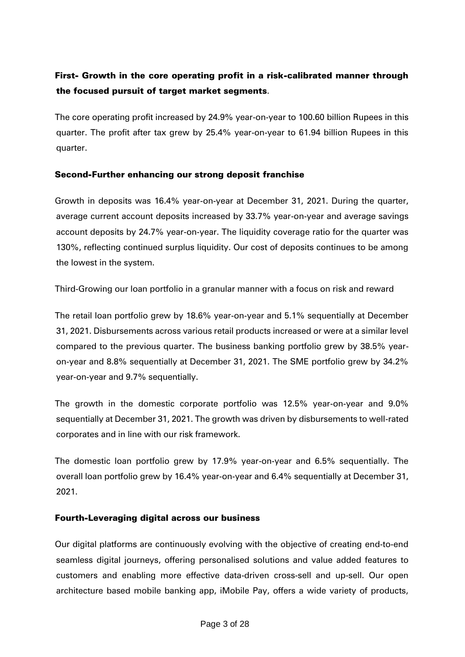# First- Growth in the core operating profit in a risk-calibrated manner through the focused pursuit of target market segments.

The core operating profit increased by 24.9% year-on-year to 100.60 billion Rupees in this quarter. The profit after tax grew by 25.4% year-on-year to 61.94 billion Rupees in this quarter.

# Second-Further enhancing our strong deposit franchise

Growth in deposits was 16.4% year-on-year at December 31, 2021. During the quarter, average current account deposits increased by 33.7% year-on-year and average savings account deposits by 24.7% year-on-year. The liquidity coverage ratio for the quarter was 130%, reflecting continued surplus liquidity. Our cost of deposits continues to be among the lowest in the system.

Third-Growing our loan portfolio in a granular manner with a focus on risk and reward

The retail loan portfolio grew by 18.6% year-on-year and 5.1% sequentially at December 31, 2021. Disbursements across various retail products increased or were at a similar level compared to the previous quarter. The business banking portfolio grew by 38.5% yearon-year and 8.8% sequentially at December 31, 2021. The SME portfolio grew by 34.2% year-on-year and 9.7% sequentially.

The growth in the domestic corporate portfolio was 12.5% year-on-year and 9.0% sequentially at December 31, 2021. The growth was driven by disbursements to well-rated corporates and in line with our risk framework.

The domestic loan portfolio grew by 17.9% year-on-year and 6.5% sequentially. The overall loan portfolio grew by 16.4% year-on-year and 6.4% sequentially at December 31, 2021.

# Fourth-Leveraging digital across our business

Our digital platforms are continuously evolving with the objective of creating end-to-end seamless digital journeys, offering personalised solutions and value added features to customers and enabling more effective data-driven cross-sell and up-sell. Our open architecture based mobile banking app, iMobile Pay, offers a wide variety of products,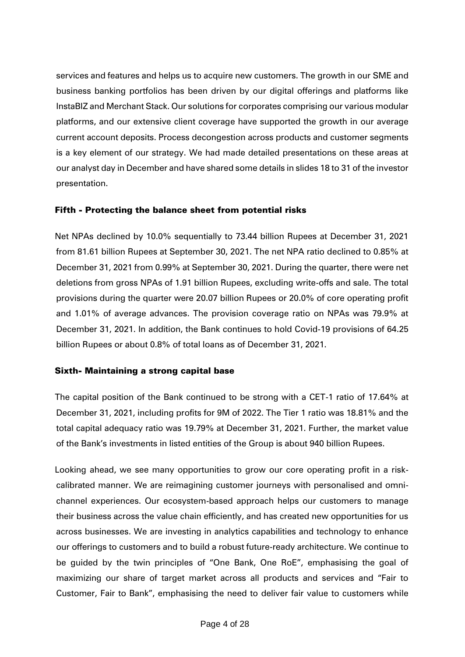services and features and helps us to acquire new customers. The growth in our SME and business banking portfolios has been driven by our digital offerings and platforms like InstaBIZ and Merchant Stack. Our solutions for corporates comprising our various modular platforms, and our extensive client coverage have supported the growth in our average current account deposits. Process decongestion across products and customer segments is a key element of our strategy. We had made detailed presentations on these areas at our analyst day in December and have shared some details in slides 18 to 31 of the investor presentation.

# Fifth - Protecting the balance sheet from potential risks

Net NPAs declined by 10.0% sequentially to 73.44 billion Rupees at December 31, 2021 from 81.61 billion Rupees at September 30, 2021. The net NPA ratio declined to 0.85% at December 31, 2021 from 0.99% at September 30, 2021. During the quarter, there were net deletions from gross NPAs of 1.91 billion Rupees, excluding write-offs and sale. The total provisions during the quarter were 20.07 billion Rupees or 20.0% of core operating profit and 1.01% of average advances. The provision coverage ratio on NPAs was 79.9% at December 31, 2021. In addition, the Bank continues to hold Covid-19 provisions of 64.25 billion Rupees or about 0.8% of total loans as of December 31, 2021.

#### Sixth- Maintaining a strong capital base

The capital position of the Bank continued to be strong with a CET-1 ratio of 17.64% at December 31, 2021, including profits for 9M of 2022. The Tier 1 ratio was 18.81% and the total capital adequacy ratio was 19.79% at December 31, 2021. Further, the market value of the Bank's investments in listed entities of the Group is about 940 billion Rupees.

Looking ahead, we see many opportunities to grow our core operating profit in a riskcalibrated manner. We are reimagining customer journeys with personalised and omnichannel experiences. Our ecosystem-based approach helps our customers to manage their business across the value chain efficiently, and has created new opportunities for us across businesses. We are investing in analytics capabilities and technology to enhance our offerings to customers and to build a robust future-ready architecture. We continue to be guided by the twin principles of "One Bank, One RoE", emphasising the goal of maximizing our share of target market across all products and services and "Fair to Customer, Fair to Bank", emphasising the need to deliver fair value to customers while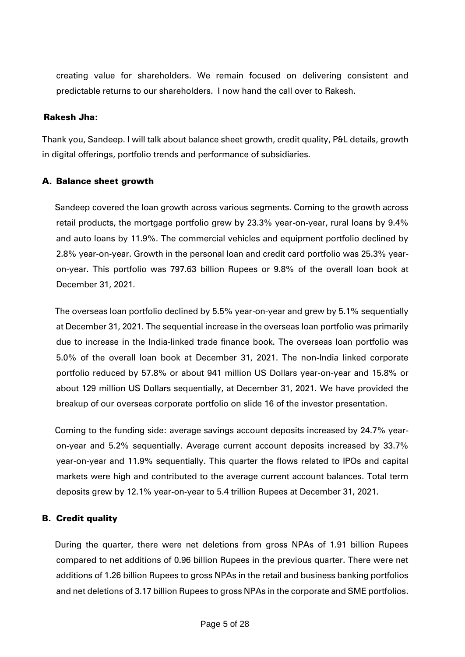creating value for shareholders. We remain focused on delivering consistent and predictable returns to our shareholders. I now hand the call over to Rakesh.

#### Rakesh Jha:

Thank you, Sandeep. I will talk about balance sheet growth, credit quality, P&L details, growth in digital offerings, portfolio trends and performance of subsidiaries.

#### A. Balance sheet growth

Sandeep covered the loan growth across various segments. Coming to the growth across retail products, the mortgage portfolio grew by 23.3% year-on-year, rural loans by 9.4% and auto loans by 11.9%. The commercial vehicles and equipment portfolio declined by 2.8% year-on-year. Growth in the personal loan and credit card portfolio was 25.3% yearon-year. This portfolio was 797.63 billion Rupees or 9.8% of the overall loan book at December 31, 2021.

The overseas loan portfolio declined by 5.5% year-on-year and grew by 5.1% sequentially at December 31, 2021. The sequential increase in the overseas loan portfolio was primarily due to increase in the India-linked trade finance book. The overseas loan portfolio was 5.0% of the overall loan book at December 31, 2021. The non-India linked corporate portfolio reduced by 57.8% or about 941 million US Dollars year-on-year and 15.8% or about 129 million US Dollars sequentially, at December 31, 2021. We have provided the breakup of our overseas corporate portfolio on slide 16 of the investor presentation.

Coming to the funding side: average savings account deposits increased by 24.7% yearon-year and 5.2% sequentially. Average current account deposits increased by 33.7% year-on-year and 11.9% sequentially. This quarter the flows related to IPOs and capital markets were high and contributed to the average current account balances. Total term deposits grew by 12.1% year-on-year to 5.4 trillion Rupees at December 31, 2021.

# B. Credit quality

During the quarter, there were net deletions from gross NPAs of 1.91 billion Rupees compared to net additions of 0.96 billion Rupees in the previous quarter. There were net additions of 1.26 billion Rupees to gross NPAs in the retail and business banking portfolios and net deletions of 3.17 billion Rupees to gross NPAs in the corporate and SME portfolios.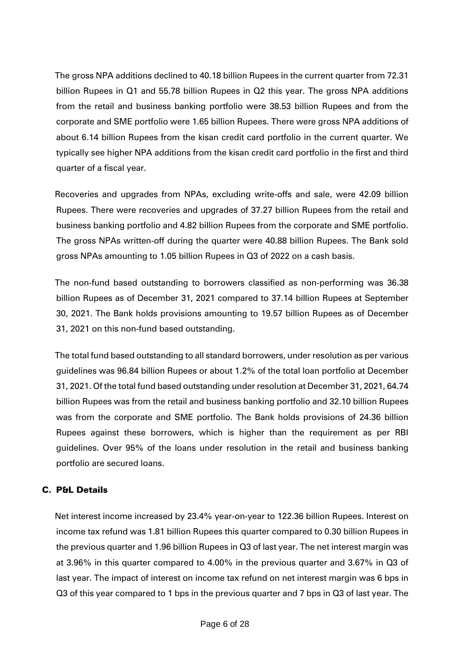The gross NPA additions declined to 40.18 billion Rupees in the current quarter from 72.31 billion Rupees in Q1 and 55.78 billion Rupees in Q2 this year. The gross NPA additions from the retail and business banking portfolio were 38.53 billion Rupees and from the corporate and SME portfolio were 1.65 billion Rupees. There were gross NPA additions of about 6.14 billion Rupees from the kisan credit card portfolio in the current quarter. We typically see higher NPA additions from the kisan credit card portfolio in the first and third quarter of a fiscal year.

Recoveries and upgrades from NPAs, excluding write-offs and sale, were 42.09 billion Rupees. There were recoveries and upgrades of 37.27 billion Rupees from the retail and business banking portfolio and 4.82 billion Rupees from the corporate and SME portfolio. The gross NPAs written-off during the quarter were 40.88 billion Rupees. The Bank sold gross NPAs amounting to 1.05 billion Rupees in Q3 of 2022 on a cash basis.

The non-fund based outstanding to borrowers classified as non-performing was 36.38 billion Rupees as of December 31, 2021 compared to 37.14 billion Rupees at September 30, 2021. The Bank holds provisions amounting to 19.57 billion Rupees as of December 31, 2021 on this non-fund based outstanding.

The total fund based outstanding to all standard borrowers, under resolution as per various guidelines was 96.84 billion Rupees or about 1.2% of the total loan portfolio at December 31, 2021. Of the total fund based outstanding under resolution at December 31, 2021, 64.74 billion Rupees was from the retail and business banking portfolio and 32.10 billion Rupees was from the corporate and SME portfolio. The Bank holds provisions of 24.36 billion Rupees against these borrowers, which is higher than the requirement as per RBI guidelines. Over 95% of the loans under resolution in the retail and business banking portfolio are secured loans.

# C. P&L Details

Net interest income increased by 23.4% year-on-year to 122.36 billion Rupees. Interest on income tax refund was 1.81 billion Rupees this quarter compared to 0.30 billion Rupees in the previous quarter and 1.96 billion Rupees in Q3 of last year. The net interest margin was at 3.96% in this quarter compared to 4.00% in the previous quarter and 3.67% in Q3 of last year. The impact of interest on income tax refund on net interest margin was 6 bps in Q3 of this year compared to 1 bps in the previous quarter and 7 bps in Q3 of last year. The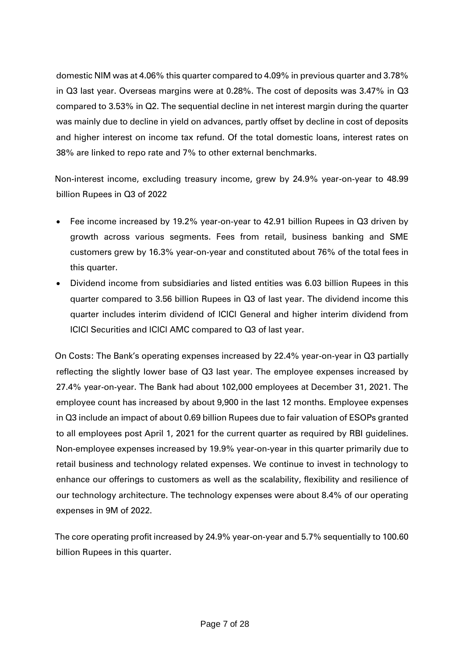domestic NIM was at 4.06% this quarter compared to 4.09% in previous quarter and 3.78% in Q3 last year. Overseas margins were at 0.28%. The cost of deposits was 3.47% in Q3 compared to 3.53% in Q2. The sequential decline in net interest margin during the quarter was mainly due to decline in yield on advances, partly offset by decline in cost of deposits and higher interest on income tax refund. Of the total domestic loans, interest rates on 38% are linked to repo rate and 7% to other external benchmarks.

Non-interest income, excluding treasury income, grew by 24.9% year-on-year to 48.99 billion Rupees in Q3 of 2022

- Fee income increased by 19.2% year-on-year to 42.91 billion Rupees in Q3 driven by growth across various segments. Fees from retail, business banking and SME customers grew by 16.3% year-on-year and constituted about 76% of the total fees in this quarter.
- Dividend income from subsidiaries and listed entities was 6.03 billion Rupees in this quarter compared to 3.56 billion Rupees in Q3 of last year. The dividend income this quarter includes interim dividend of ICICI General and higher interim dividend from ICICI Securities and ICICI AMC compared to Q3 of last year.

On Costs: The Bank's operating expenses increased by 22.4% year-on-year in Q3 partially reflecting the slightly lower base of Q3 last year. The employee expenses increased by 27.4% year-on-year. The Bank had about 102,000 employees at December 31, 2021. The employee count has increased by about 9,900 in the last 12 months. Employee expenses in Q3 include an impact of about 0.69 billion Rupees due to fair valuation of ESOPs granted to all employees post April 1, 2021 for the current quarter as required by RBI guidelines. Non-employee expenses increased by 19.9% year-on-year in this quarter primarily due to retail business and technology related expenses. We continue to invest in technology to enhance our offerings to customers as well as the scalability, flexibility and resilience of our technology architecture. The technology expenses were about 8.4% of our operating expenses in 9M of 2022.

The core operating profit increased by 24.9% year-on-year and 5.7% sequentially to 100.60 billion Rupees in this quarter.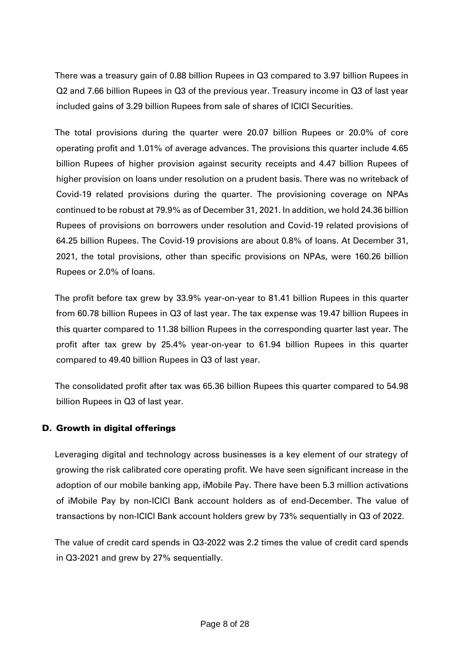There was a treasury gain of 0.88 billion Rupees in Q3 compared to 3.97 billion Rupees in Q2 and 7.66 billion Rupees in Q3 of the previous year. Treasury income in Q3 of last year included gains of 3.29 billion Rupees from sale of shares of ICICI Securities.

The total provisions during the quarter were 20.07 billion Rupees or 20.0% of core operating profit and 1.01% of average advances. The provisions this quarter include 4.65 billion Rupees of higher provision against security receipts and 4.47 billion Rupees of higher provision on loans under resolution on a prudent basis. There was no writeback of Covid-19 related provisions during the quarter. The provisioning coverage on NPAs continued to be robust at 79.9% as of December 31, 2021. In addition, we hold 24.36 billion Rupees of provisions on borrowers under resolution and Covid-19 related provisions of 64.25 billion Rupees. The Covid-19 provisions are about 0.8% of loans. At December 31, 2021, the total provisions, other than specific provisions on NPAs, were 160.26 billion Rupees or 2.0% of loans.

The profit before tax grew by 33.9% year-on-year to 81.41 billion Rupees in this quarter from 60.78 billion Rupees in Q3 of last year. The tax expense was 19.47 billion Rupees in this quarter compared to 11.38 billion Rupees in the corresponding quarter last year. The profit after tax grew by 25.4% year-on-year to 61.94 billion Rupees in this quarter compared to 49.40 billion Rupees in Q3 of last year.

The consolidated profit after tax was 65.36 billion Rupees this quarter compared to 54.98 billion Rupees in Q3 of last year.

# D. Growth in digital offerings

Leveraging digital and technology across businesses is a key element of our strategy of growing the risk calibrated core operating profit. We have seen significant increase in the adoption of our mobile banking app, iMobile Pay. There have been 5.3 million activations of iMobile Pay by non-ICICI Bank account holders as of end-December. The value of transactions by non-ICICI Bank account holders grew by 73% sequentially in Q3 of 2022.

The value of credit card spends in Q3-2022 was 2.2 times the value of credit card spends in Q3-2021 and grew by 27% sequentially.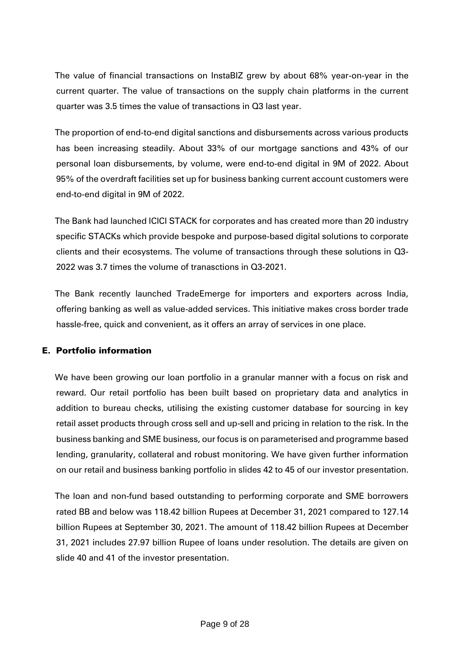The value of financial transactions on InstaBIZ grew by about 68% year-on-year in the current quarter. The value of transactions on the supply chain platforms in the current quarter was 3.5 times the value of transactions in Q3 last year.

The proportion of end-to-end digital sanctions and disbursements across various products has been increasing steadily. About 33% of our mortgage sanctions and 43% of our personal loan disbursements, by volume, were end-to-end digital in 9M of 2022. About 95% of the overdraft facilities set up for business banking current account customers were end-to-end digital in 9M of 2022.

The Bank had launched ICICI STACK for corporates and has created more than 20 industry specific STACKs which provide bespoke and purpose-based digital solutions to corporate clients and their ecosystems. The volume of transactions through these solutions in Q3- 2022 was 3.7 times the volume of tranasctions in Q3-2021.

The Bank recently launched TradeEmerge for importers and exporters across India, offering banking as well as value-added services. This initiative makes cross border trade hassle-free, quick and convenient, as it offers an array of services in one place.

# E. Portfolio information

We have been growing our loan portfolio in a granular manner with a focus on risk and reward. Our retail portfolio has been built based on proprietary data and analytics in addition to bureau checks, utilising the existing customer database for sourcing in key retail asset products through cross sell and up-sell and pricing in relation to the risk. In the business banking and SME business, our focus is on parameterised and programme based lending, granularity, collateral and robust monitoring. We have given further information on our retail and business banking portfolio in slides 42 to 45 of our investor presentation.

The loan and non-fund based outstanding to performing corporate and SME borrowers rated BB and below was 118.42 billion Rupees at December 31, 2021 compared to 127.14 billion Rupees at September 30, 2021. The amount of 118.42 billion Rupees at December 31, 2021 includes 27.97 billion Rupee of loans under resolution. The details are given on slide 40 and 41 of the investor presentation.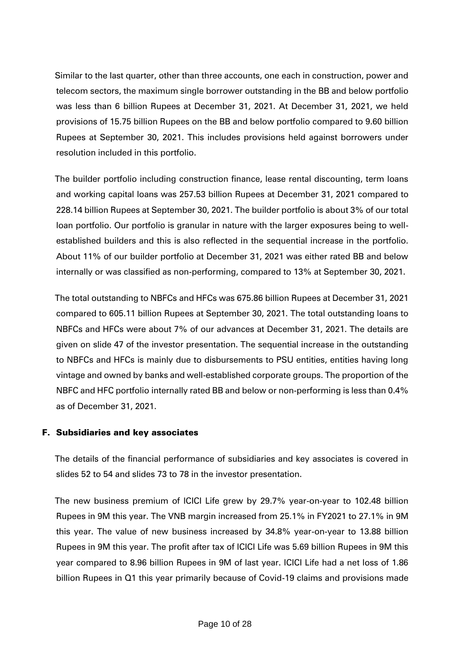Similar to the last quarter, other than three accounts, one each in construction, power and telecom sectors, the maximum single borrower outstanding in the BB and below portfolio was less than 6 billion Rupees at December 31, 2021. At December 31, 2021, we held provisions of 15.75 billion Rupees on the BB and below portfolio compared to 9.60 billion Rupees at September 30, 2021. This includes provisions held against borrowers under resolution included in this portfolio.

The builder portfolio including construction finance, lease rental discounting, term loans and working capital loans was 257.53 billion Rupees at December 31, 2021 compared to 228.14 billion Rupees at September 30, 2021. The builder portfolio is about 3% of our total loan portfolio. Our portfolio is granular in nature with the larger exposures being to wellestablished builders and this is also reflected in the sequential increase in the portfolio. About 11% of our builder portfolio at December 31, 2021 was either rated BB and below internally or was classified as non-performing, compared to 13% at September 30, 2021.

The total outstanding to NBFCs and HFCs was 675.86 billion Rupees at December 31, 2021 compared to 605.11 billion Rupees at September 30, 2021. The total outstanding loans to NBFCs and HFCs were about 7% of our advances at December 31, 2021. The details are given on slide 47 of the investor presentation. The sequential increase in the outstanding to NBFCs and HFCs is mainly due to disbursements to PSU entities, entities having long vintage and owned by banks and well-established corporate groups. The proportion of the NBFC and HFC portfolio internally rated BB and below or non-performing is less than 0.4% as of December 31, 2021.

# F. Subsidiaries and key associates

The details of the financial performance of subsidiaries and key associates is covered in slides 52 to 54 and slides 73 to 78 in the investor presentation.

The new business premium of ICICI Life grew by 29.7% year-on-year to 102.48 billion Rupees in 9M this year. The VNB margin increased from 25.1% in FY2021 to 27.1% in 9M this year. The value of new business increased by 34.8% year-on-year to 13.88 billion Rupees in 9M this year. The profit after tax of ICICI Life was 5.69 billion Rupees in 9M this year compared to 8.96 billion Rupees in 9M of last year. ICICI Life had a net loss of 1.86 billion Rupees in Q1 this year primarily because of Covid-19 claims and provisions made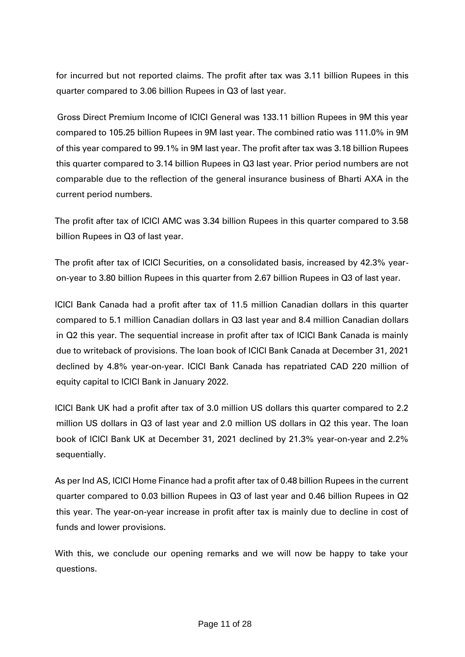for incurred but not reported claims. The profit after tax was 3.11 billion Rupees in this quarter compared to 3.06 billion Rupees in Q3 of last year.

Gross Direct Premium Income of ICICI General was 133.11 billion Rupees in 9M this year compared to 105.25 billion Rupees in 9M last year. The combined ratio was 111.0% in 9M of this year compared to 99.1% in 9M last year. The profit after tax was 3.18 billion Rupees this quarter compared to 3.14 billion Rupees in Q3 last year. Prior period numbers are not comparable due to the reflection of the general insurance business of Bharti AXA in the current period numbers.

The profit after tax of ICICI AMC was 3.34 billion Rupees in this quarter compared to 3.58 billion Rupees in Q3 of last year.

The profit after tax of ICICI Securities, on a consolidated basis, increased by 42.3% yearon-year to 3.80 billion Rupees in this quarter from 2.67 billion Rupees in Q3 of last year.

ICICI Bank Canada had a profit after tax of 11.5 million Canadian dollars in this quarter compared to 5.1 million Canadian dollars in Q3 last year and 8.4 million Canadian dollars in Q2 this year. The sequential increase in profit after tax of ICICI Bank Canada is mainly due to writeback of provisions. The loan book of ICICI Bank Canada at December 31, 2021 declined by 4.8% year-on-year. ICICI Bank Canada has repatriated CAD 220 million of equity capital to ICICI Bank in January 2022.

ICICI Bank UK had a profit after tax of 3.0 million US dollars this quarter compared to 2.2 million US dollars in Q3 of last year and 2.0 million US dollars in Q2 this year. The loan book of ICICI Bank UK at December 31, 2021 declined by 21.3% year-on-year and 2.2% sequentially.

As per Ind AS, ICICI Home Finance had a profit after tax of 0.48 billion Rupees in the current quarter compared to 0.03 billion Rupees in Q3 of last year and 0.46 billion Rupees in Q2 this year. The year-on-year increase in profit after tax is mainly due to decline in cost of funds and lower provisions.

With this, we conclude our opening remarks and we will now be happy to take your questions.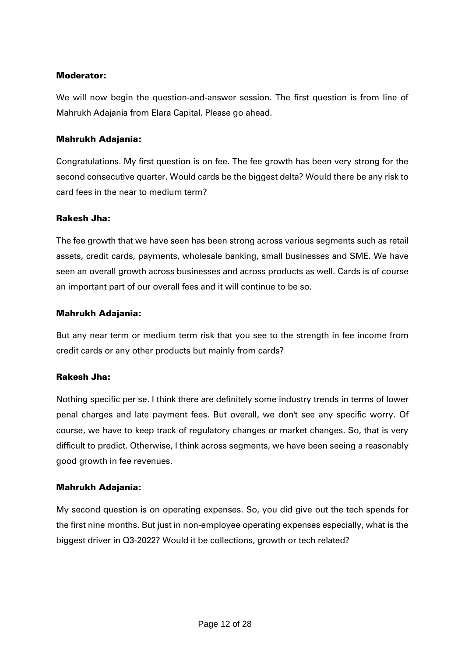### Moderator:

We will now begin the question-and-answer session. The first question is from line of Mahrukh Adajania from Elara Capital. Please go ahead.

# Mahrukh Adajania:

Congratulations. My first question is on fee. The fee growth has been very strong for the second consecutive quarter. Would cards be the biggest delta? Would there be any risk to card fees in the near to medium term?

#### Rakesh Jha:

The fee growth that we have seen has been strong across various segments such as retail assets, credit cards, payments, wholesale banking, small businesses and SME. We have seen an overall growth across businesses and across products as well. Cards is of course an important part of our overall fees and it will continue to be so.

# Mahrukh Adajania:

But any near term or medium term risk that you see to the strength in fee income from credit cards or any other products but mainly from cards?

# Rakesh Jha:

Nothing specific per se. I think there are definitely some industry trends in terms of lower penal charges and late payment fees. But overall, we don't see any specific worry. Of course, we have to keep track of regulatory changes or market changes. So, that is very difficult to predict. Otherwise, I think across segments, we have been seeing a reasonably good growth in fee revenues.

# Mahrukh Adajania:

My second question is on operating expenses. So, you did give out the tech spends for the first nine months. But just in non-employee operating expenses especially, what is the biggest driver in Q3-2022? Would it be collections, growth or tech related?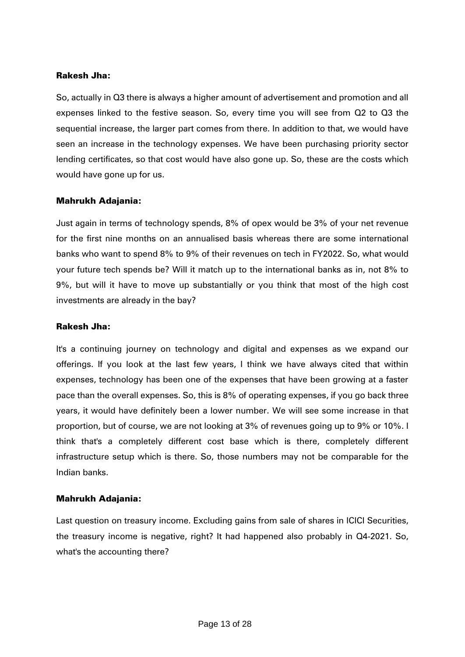So, actually in Q3 there is always a higher amount of advertisement and promotion and all expenses linked to the festive season. So, every time you will see from Q2 to Q3 the sequential increase, the larger part comes from there. In addition to that, we would have seen an increase in the technology expenses. We have been purchasing priority sector lending certificates, so that cost would have also gone up. So, these are the costs which would have gone up for us.

#### Mahrukh Adajania:

Just again in terms of technology spends, 8% of opex would be 3% of your net revenue for the first nine months on an annualised basis whereas there are some international banks who want to spend 8% to 9% of their revenues on tech in FY2022. So, what would your future tech spends be? Will it match up to the international banks as in, not 8% to 9%, but will it have to move up substantially or you think that most of the high cost investments are already in the bay?

#### Rakesh Jha:

It's a continuing journey on technology and digital and expenses as we expand our offerings. If you look at the last few years, I think we have always cited that within expenses, technology has been one of the expenses that have been growing at a faster pace than the overall expenses. So, this is 8% of operating expenses, if you go back three years, it would have definitely been a lower number. We will see some increase in that proportion, but of course, we are not looking at 3% of revenues going up to 9% or 10%. I think that's a completely different cost base which is there, completely different infrastructure setup which is there. So, those numbers may not be comparable for the Indian banks.

#### Mahrukh Adajania:

Last question on treasury income. Excluding gains from sale of shares in ICICI Securities, the treasury income is negative, right? It had happened also probably in Q4-2021. So, what's the accounting there?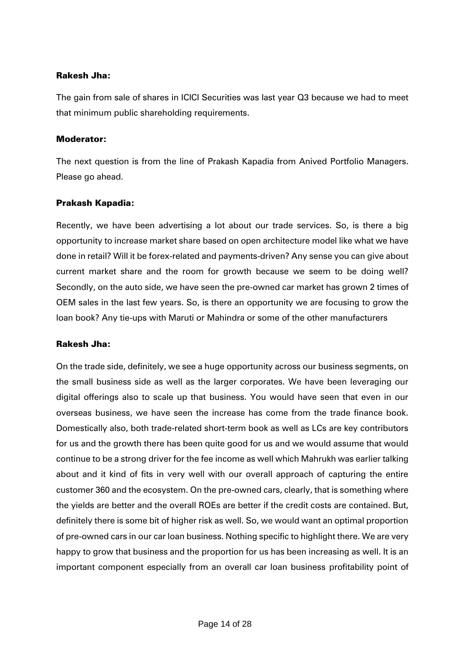The gain from sale of shares in ICICI Securities was last year Q3 because we had to meet that minimum public shareholding requirements.

#### Moderator:

The next question is from the line of Prakash Kapadia from Anived Portfolio Managers. Please go ahead.

#### Prakash Kapadia:

Recently, we have been advertising a lot about our trade services. So, is there a big opportunity to increase market share based on open architecture model like what we have done in retail? Will it be forex-related and payments-driven? Any sense you can give about current market share and the room for growth because we seem to be doing well? Secondly, on the auto side, we have seen the pre-owned car market has grown 2 times of OEM sales in the last few years. So, is there an opportunity we are focusing to grow the loan book? Any tie-ups with Maruti or Mahindra or some of the other manufacturers

#### Rakesh Jha:

On the trade side, definitely, we see a huge opportunity across our business segments, on the small business side as well as the larger corporates. We have been leveraging our digital offerings also to scale up that business. You would have seen that even in our overseas business, we have seen the increase has come from the trade finance book. Domestically also, both trade-related short-term book as well as LCs are key contributors for us and the growth there has been quite good for us and we would assume that would continue to be a strong driver for the fee income as well which Mahrukh was earlier talking about and it kind of fits in very well with our overall approach of capturing the entire customer 360 and the ecosystem. On the pre-owned cars, clearly, that is something where the yields are better and the overall ROEs are better if the credit costs are contained. But, definitely there is some bit of higher risk as well. So, we would want an optimal proportion of pre-owned cars in our car loan business. Nothing specific to highlight there. We are very happy to grow that business and the proportion for us has been increasing as well. It is an important component especially from an overall car loan business profitability point of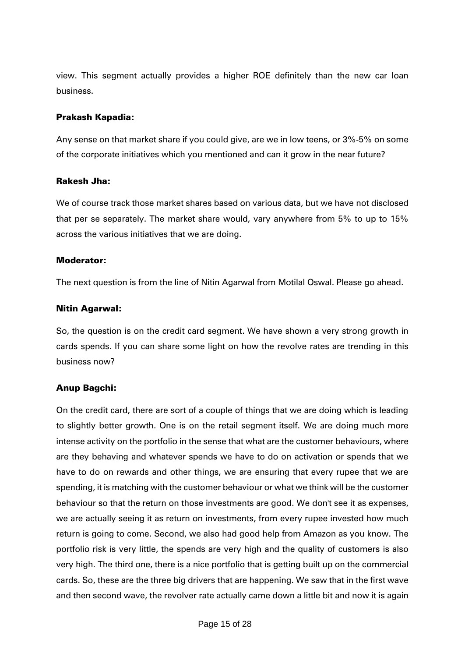view. This segment actually provides a higher ROE definitely than the new car loan business.

### Prakash Kapadia:

Any sense on that market share if you could give, are we in low teens, or 3%-5% on some of the corporate initiatives which you mentioned and can it grow in the near future?

#### Rakesh Jha:

We of course track those market shares based on various data, but we have not disclosed that per se separately. The market share would, vary anywhere from 5% to up to 15% across the various initiatives that we are doing.

# Moderator:

The next question is from the line of Nitin Agarwal from Motilal Oswal. Please go ahead.

# Nitin Agarwal:

So, the question is on the credit card segment. We have shown a very strong growth in cards spends. If you can share some light on how the revolve rates are trending in this business now?

# Anup Bagchi:

On the credit card, there are sort of a couple of things that we are doing which is leading to slightly better growth. One is on the retail segment itself. We are doing much more intense activity on the portfolio in the sense that what are the customer behaviours, where are they behaving and whatever spends we have to do on activation or spends that we have to do on rewards and other things, we are ensuring that every rupee that we are spending, it is matching with the customer behaviour or what we think will be the customer behaviour so that the return on those investments are good. We don't see it as expenses, we are actually seeing it as return on investments, from every rupee invested how much return is going to come. Second, we also had good help from Amazon as you know. The portfolio risk is very little, the spends are very high and the quality of customers is also very high. The third one, there is a nice portfolio that is getting built up on the commercial cards. So, these are the three big drivers that are happening. We saw that in the first wave and then second wave, the revolver rate actually came down a little bit and now it is again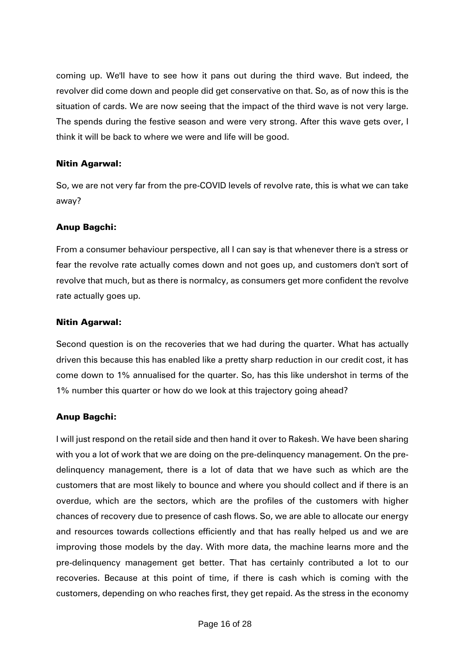coming up. We'll have to see how it pans out during the third wave. But indeed, the revolver did come down and people did get conservative on that. So, as of now this is the situation of cards. We are now seeing that the impact of the third wave is not very large. The spends during the festive season and were very strong. After this wave gets over, I think it will be back to where we were and life will be good.

### Nitin Agarwal:

So, we are not very far from the pre-COVID levels of revolve rate, this is what we can take away?

# Anup Bagchi:

From a consumer behaviour perspective, all I can say is that whenever there is a stress or fear the revolve rate actually comes down and not goes up, and customers don't sort of revolve that much, but as there is normalcy, as consumers get more confident the revolve rate actually goes up.

#### Nitin Agarwal:

Second question is on the recoveries that we had during the quarter. What has actually driven this because this has enabled like a pretty sharp reduction in our credit cost, it has come down to 1% annualised for the quarter. So, has this like undershot in terms of the 1% number this quarter or how do we look at this trajectory going ahead?

# Anup Bagchi:

I will just respond on the retail side and then hand it over to Rakesh. We have been sharing with you a lot of work that we are doing on the pre-delinquency management. On the predelinquency management, there is a lot of data that we have such as which are the customers that are most likely to bounce and where you should collect and if there is an overdue, which are the sectors, which are the profiles of the customers with higher chances of recovery due to presence of cash flows. So, we are able to allocate our energy and resources towards collections efficiently and that has really helped us and we are improving those models by the day. With more data, the machine learns more and the pre-delinquency management get better. That has certainly contributed a lot to our recoveries. Because at this point of time, if there is cash which is coming with the customers, depending on who reaches first, they get repaid. As the stress in the economy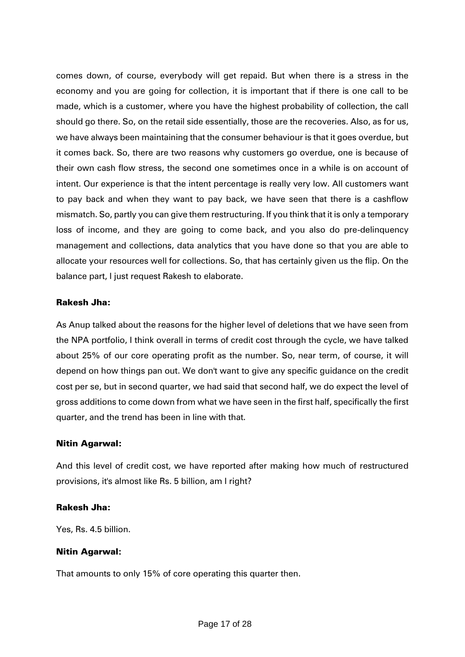comes down, of course, everybody will get repaid. But when there is a stress in the economy and you are going for collection, it is important that if there is one call to be made, which is a customer, where you have the highest probability of collection, the call should go there. So, on the retail side essentially, those are the recoveries. Also, as for us, we have always been maintaining that the consumer behaviour is that it goes overdue, but it comes back. So, there are two reasons why customers go overdue, one is because of their own cash flow stress, the second one sometimes once in a while is on account of intent. Our experience is that the intent percentage is really very low. All customers want to pay back and when they want to pay back, we have seen that there is a cashflow mismatch. So, partly you can give them restructuring. If you think that it is only a temporary loss of income, and they are going to come back, and you also do pre-delinquency management and collections, data analytics that you have done so that you are able to allocate your resources well for collections. So, that has certainly given us the flip. On the balance part, I just request Rakesh to elaborate.

#### Rakesh Jha:

As Anup talked about the reasons for the higher level of deletions that we have seen from the NPA portfolio, I think overall in terms of credit cost through the cycle, we have talked about 25% of our core operating profit as the number. So, near term, of course, it will depend on how things pan out. We don't want to give any specific guidance on the credit cost per se, but in second quarter, we had said that second half, we do expect the level of gross additions to come down from what we have seen in the first half, specifically the first quarter, and the trend has been in line with that.

#### Nitin Agarwal:

And this level of credit cost, we have reported after making how much of restructured provisions, it's almost like Rs. 5 billion, am I right?

#### Rakesh Jha:

Yes, Rs. 4.5 billion.

#### Nitin Agarwal:

That amounts to only 15% of core operating this quarter then.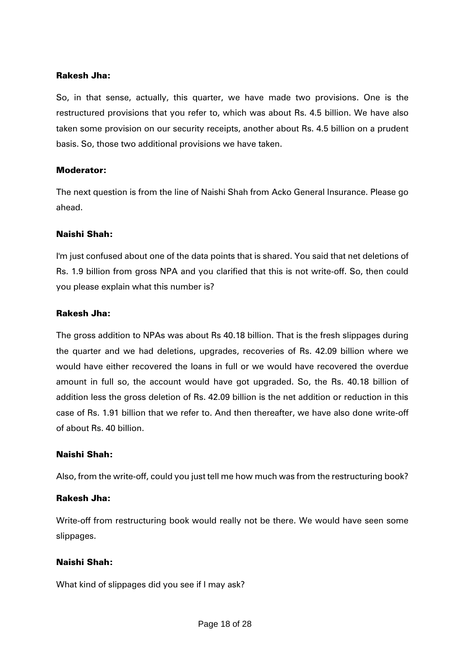So, in that sense, actually, this quarter, we have made two provisions. One is the restructured provisions that you refer to, which was about Rs. 4.5 billion. We have also taken some provision on our security receipts, another about Rs. 4.5 billion on a prudent basis. So, those two additional provisions we have taken.

# Moderator:

The next question is from the line of Naishi Shah from Acko General Insurance. Please go ahead.

#### Naishi Shah:

I'm just confused about one of the data points that is shared. You said that net deletions of Rs. 1.9 billion from gross NPA and you clarified that this is not write-off. So, then could you please explain what this number is?

#### Rakesh Jha:

The gross addition to NPAs was about Rs 40.18 billion. That is the fresh slippages during the quarter and we had deletions, upgrades, recoveries of Rs. 42.09 billion where we would have either recovered the loans in full or we would have recovered the overdue amount in full so, the account would have got upgraded. So, the Rs. 40.18 billion of addition less the gross deletion of Rs. 42.09 billion is the net addition or reduction in this case of Rs. 1.91 billion that we refer to. And then thereafter, we have also done write-off of about Rs. 40 billion.

# Naishi Shah:

Also, from the write-off, could you just tell me how much was from the restructuring book?

#### Rakesh Jha:

Write-off from restructuring book would really not be there. We would have seen some slippages.

# Naishi Shah:

What kind of slippages did you see if I may ask?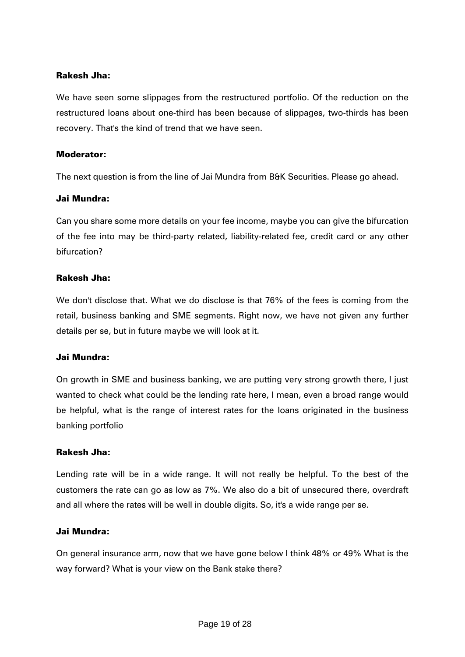We have seen some slippages from the restructured portfolio. Of the reduction on the restructured loans about one-third has been because of slippages, two-thirds has been recovery. That's the kind of trend that we have seen.

#### Moderator:

The next question is from the line of Jai Mundra from B&K Securities. Please go ahead.

#### Jai Mundra:

Can you share some more details on your fee income, maybe you can give the bifurcation of the fee into may be third-party related, liability-related fee, credit card or any other bifurcation?

# Rakesh Jha:

We don't disclose that. What we do disclose is that 76% of the fees is coming from the retail, business banking and SME segments. Right now, we have not given any further details per se, but in future maybe we will look at it.

#### Jai Mundra:

On growth in SME and business banking, we are putting very strong growth there, I just wanted to check what could be the lending rate here, I mean, even a broad range would be helpful, what is the range of interest rates for the loans originated in the business banking portfolio

#### Rakesh Jha:

Lending rate will be in a wide range. It will not really be helpful. To the best of the customers the rate can go as low as 7%. We also do a bit of unsecured there, overdraft and all where the rates will be well in double digits. So, it's a wide range per se.

#### Jai Mundra:

On general insurance arm, now that we have gone below I think 48% or 49% What is the way forward? What is your view on the Bank stake there?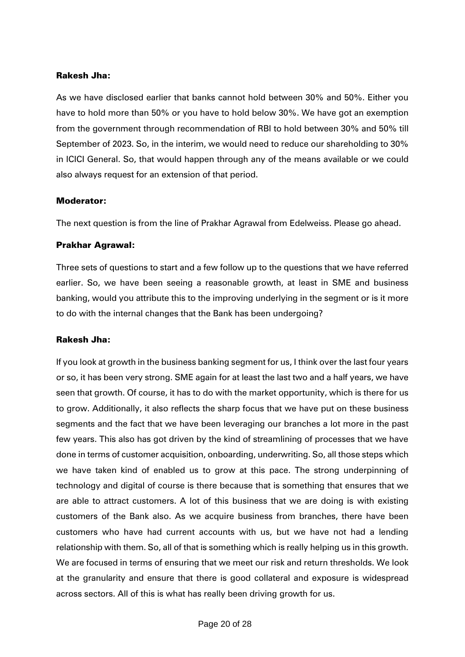As we have disclosed earlier that banks cannot hold between 30% and 50%. Either you have to hold more than 50% or you have to hold below 30%. We have got an exemption from the government through recommendation of RBI to hold between 30% and 50% till September of 2023. So, in the interim, we would need to reduce our shareholding to 30% in ICICI General. So, that would happen through any of the means available or we could also always request for an extension of that period.

# Moderator:

The next question is from the line of Prakhar Agrawal from Edelweiss. Please go ahead.

# Prakhar Agrawal:

Three sets of questions to start and a few follow up to the questions that we have referred earlier. So, we have been seeing a reasonable growth, at least in SME and business banking, would you attribute this to the improving underlying in the segment or is it more to do with the internal changes that the Bank has been undergoing?

#### Rakesh Jha:

If you look at growth in the business banking segment for us, I think over the last four years or so, it has been very strong. SME again for at least the last two and a half years, we have seen that growth. Of course, it has to do with the market opportunity, which is there for us to grow. Additionally, it also reflects the sharp focus that we have put on these business segments and the fact that we have been leveraging our branches a lot more in the past few years. This also has got driven by the kind of streamlining of processes that we have done in terms of customer acquisition, onboarding, underwriting. So, all those steps which we have taken kind of enabled us to grow at this pace. The strong underpinning of technology and digital of course is there because that is something that ensures that we are able to attract customers. A lot of this business that we are doing is with existing customers of the Bank also. As we acquire business from branches, there have been customers who have had current accounts with us, but we have not had a lending relationship with them. So, all of that is something which is really helping us in this growth. We are focused in terms of ensuring that we meet our risk and return thresholds. We look at the granularity and ensure that there is good collateral and exposure is widespread across sectors. All of this is what has really been driving growth for us.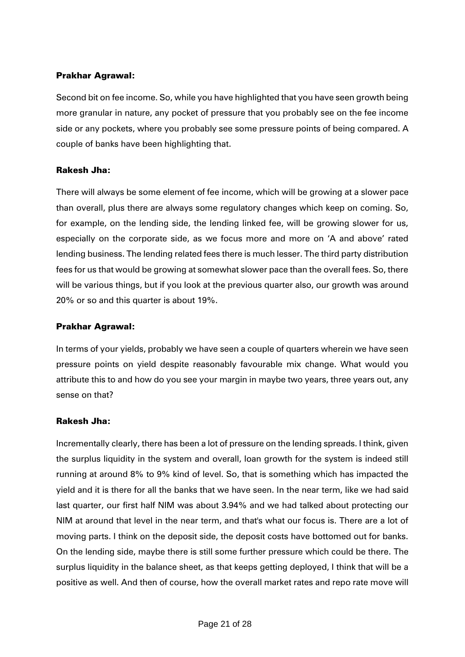### Prakhar Agrawal:

Second bit on fee income. So, while you have highlighted that you have seen growth being more granular in nature, any pocket of pressure that you probably see on the fee income side or any pockets, where you probably see some pressure points of being compared. A couple of banks have been highlighting that.

# Rakesh Jha:

There will always be some element of fee income, which will be growing at a slower pace than overall, plus there are always some regulatory changes which keep on coming. So, for example, on the lending side, the lending linked fee, will be growing slower for us, especially on the corporate side, as we focus more and more on 'A and above' rated lending business. The lending related fees there is much lesser. The third party distribution fees for us that would be growing at somewhat slower pace than the overall fees. So, there will be various things, but if you look at the previous quarter also, our growth was around 20% or so and this quarter is about 19%.

### Prakhar Agrawal:

In terms of your yields, probably we have seen a couple of quarters wherein we have seen pressure points on yield despite reasonably favourable mix change. What would you attribute this to and how do you see your margin in maybe two years, three years out, any sense on that?

#### Rakesh Jha:

Incrementally clearly, there has been a lot of pressure on the lending spreads. I think, given the surplus liquidity in the system and overall, loan growth for the system is indeed still running at around 8% to 9% kind of level. So, that is something which has impacted the yield and it is there for all the banks that we have seen. In the near term, like we had said last quarter, our first half NIM was about 3.94% and we had talked about protecting our NIM at around that level in the near term, and that's what our focus is. There are a lot of moving parts. I think on the deposit side, the deposit costs have bottomed out for banks. On the lending side, maybe there is still some further pressure which could be there. The surplus liquidity in the balance sheet, as that keeps getting deployed, I think that will be a positive as well. And then of course, how the overall market rates and repo rate move will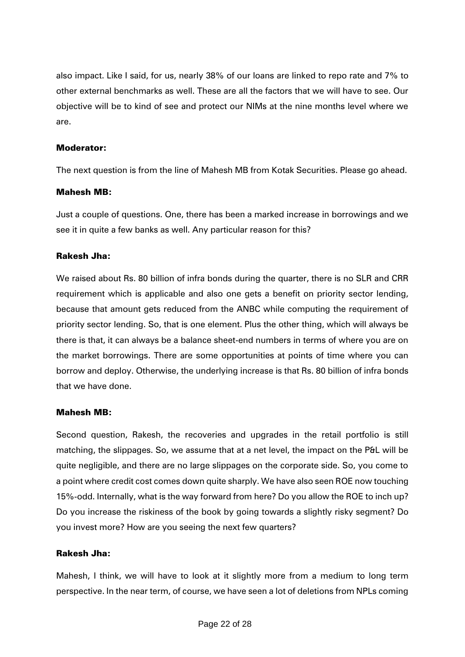also impact. Like I said, for us, nearly 38% of our loans are linked to repo rate and 7% to other external benchmarks as well. These are all the factors that we will have to see. Our objective will be to kind of see and protect our NIMs at the nine months level where we are.

#### Moderator:

The next question is from the line of Mahesh MB from Kotak Securities. Please go ahead.

#### Mahesh MB:

Just a couple of questions. One, there has been a marked increase in borrowings and we see it in quite a few banks as well. Any particular reason for this?

#### Rakesh Jha:

We raised about Rs. 80 billion of infra bonds during the quarter, there is no SLR and CRR requirement which is applicable and also one gets a benefit on priority sector lending, because that amount gets reduced from the ANBC while computing the requirement of priority sector lending. So, that is one element. Plus the other thing, which will always be there is that, it can always be a balance sheet-end numbers in terms of where you are on the market borrowings. There are some opportunities at points of time where you can borrow and deploy. Otherwise, the underlying increase is that Rs. 80 billion of infra bonds that we have done.

#### Mahesh MB:

Second question, Rakesh, the recoveries and upgrades in the retail portfolio is still matching, the slippages. So, we assume that at a net level, the impact on the P&L will be quite negligible, and there are no large slippages on the corporate side. So, you come to a point where credit cost comes down quite sharply. We have also seen ROE now touching 15%-odd. Internally, what is the way forward from here? Do you allow the ROE to inch up? Do you increase the riskiness of the book by going towards a slightly risky segment? Do you invest more? How are you seeing the next few quarters?

### Rakesh Jha:

Mahesh, I think, we will have to look at it slightly more from a medium to long term perspective. In the near term, of course, we have seen a lot of deletions from NPLs coming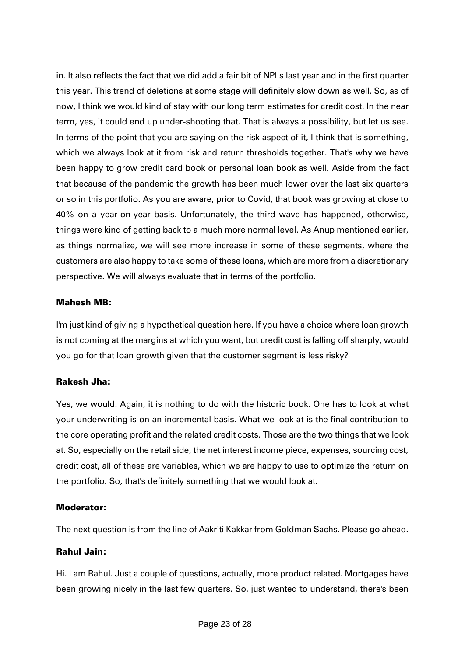in. It also reflects the fact that we did add a fair bit of NPLs last year and in the first quarter this year. This trend of deletions at some stage will definitely slow down as well. So, as of now, I think we would kind of stay with our long term estimates for credit cost. In the near term, yes, it could end up under-shooting that. That is always a possibility, but let us see. In terms of the point that you are saying on the risk aspect of it, I think that is something, which we always look at it from risk and return thresholds together. That's why we have been happy to grow credit card book or personal loan book as well. Aside from the fact that because of the pandemic the growth has been much lower over the last six quarters or so in this portfolio. As you are aware, prior to Covid, that book was growing at close to 40% on a year-on-year basis. Unfortunately, the third wave has happened, otherwise, things were kind of getting back to a much more normal level. As Anup mentioned earlier, as things normalize, we will see more increase in some of these segments, where the customers are also happy to take some of these loans, which are more from a discretionary perspective. We will always evaluate that in terms of the portfolio.

#### Mahesh MB:

I'm just kind of giving a hypothetical question here. If you have a choice where loan growth is not coming at the margins at which you want, but credit cost is falling off sharply, would you go for that loan growth given that the customer segment is less risky?

# Rakesh Jha:

Yes, we would. Again, it is nothing to do with the historic book. One has to look at what your underwriting is on an incremental basis. What we look at is the final contribution to the core operating profit and the related credit costs. Those are the two things that we look at. So, especially on the retail side, the net interest income piece, expenses, sourcing cost, credit cost, all of these are variables, which we are happy to use to optimize the return on the portfolio. So, that's definitely something that we would look at.

#### Moderator:

The next question is from the line of Aakriti Kakkar from Goldman Sachs. Please go ahead.

#### Rahul Jain:

Hi. I am Rahul. Just a couple of questions, actually, more product related. Mortgages have been growing nicely in the last few quarters. So, just wanted to understand, there's been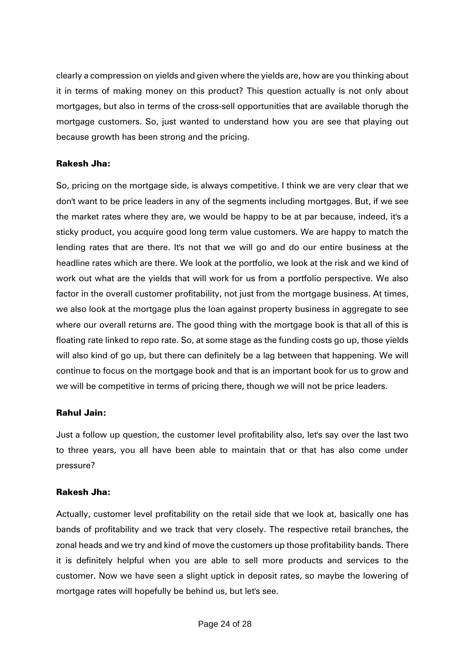clearly a compression on yields and given where the yields are, how are you thinking about it in terms of making money on this product? This question actually is not only about mortgages, but also in terms of the cross-sell opportunities that are available thorugh the mortgage customers. So, just wanted to understand how you are see that playing out because growth has been strong and the pricing.

# Rakesh Jha:

So, pricing on the mortgage side, is always competitive. I think we are very clear that we don't want to be price leaders in any of the segments including mortgages. But, if we see the market rates where they are, we would be happy to be at par because, indeed, it's a sticky product, you acquire good long term value customers. We are happy to match the lending rates that are there. It's not that we will go and do our entire business at the headline rates which are there. We look at the portfolio, we look at the risk and we kind of work out what are the yields that will work for us from a portfolio perspective. We also factor in the overall customer profitability, not just from the mortgage business. At times, we also look at the mortgage plus the loan against property business in aggregate to see where our overall returns are. The good thing with the mortgage book is that all of this is floating rate linked to repo rate. So, at some stage as the funding costs go up, those yields will also kind of go up, but there can definitely be a lag between that happening. We will continue to focus on the mortgage book and that is an important book for us to grow and we will be competitive in terms of pricing there, though we will not be price leaders.

# Rahul Jain:

Just a follow up question, the customer level profitability also, let's say over the last two to three years, you all have been able to maintain that or that has also come under pressure?

# Rakesh Jha:

Actually, customer level profitability on the retail side that we look at, basically one has bands of profitability and we track that very closely. The respective retail branches, the zonal heads and we try and kind of move the customers up those profitability bands. There it is definitely helpful when you are able to sell more products and services to the customer. Now we have seen a slight uptick in deposit rates, so maybe the lowering of mortgage rates will hopefully be behind us, but let's see.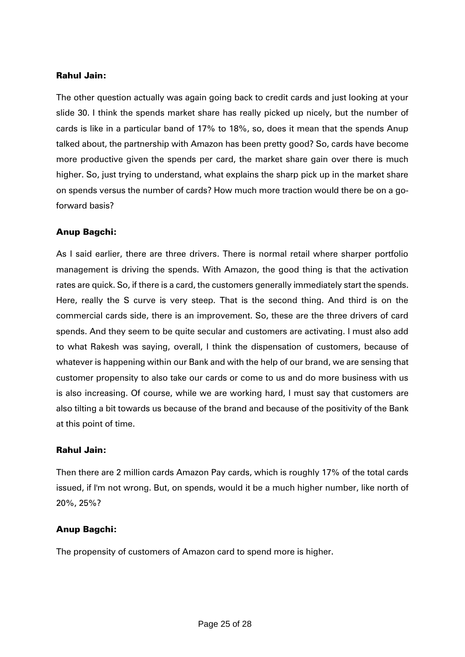#### Rahul Jain:

The other question actually was again going back to credit cards and just looking at your slide 30. I think the spends market share has really picked up nicely, but the number of cards is like in a particular band of 17% to 18%, so, does it mean that the spends Anup talked about, the partnership with Amazon has been pretty good? So, cards have become more productive given the spends per card, the market share gain over there is much higher. So, just trying to understand, what explains the sharp pick up in the market share on spends versus the number of cards? How much more traction would there be on a goforward basis?

# Anup Bagchi:

As I said earlier, there are three drivers. There is normal retail where sharper portfolio management is driving the spends. With Amazon, the good thing is that the activation rates are quick. So, if there is a card, the customers generally immediately start the spends. Here, really the S curve is very steep. That is the second thing. And third is on the commercial cards side, there is an improvement. So, these are the three drivers of card spends. And they seem to be quite secular and customers are activating. I must also add to what Rakesh was saying, overall, I think the dispensation of customers, because of whatever is happening within our Bank and with the help of our brand, we are sensing that customer propensity to also take our cards or come to us and do more business with us is also increasing. Of course, while we are working hard, I must say that customers are also tilting a bit towards us because of the brand and because of the positivity of the Bank at this point of time.

#### Rahul Jain:

Then there are 2 million cards Amazon Pay cards, which is roughly 17% of the total cards issued, if I'm not wrong. But, on spends, would it be a much higher number, like north of 20%, 25%?

#### Anup Bagchi:

The propensity of customers of Amazon card to spend more is higher.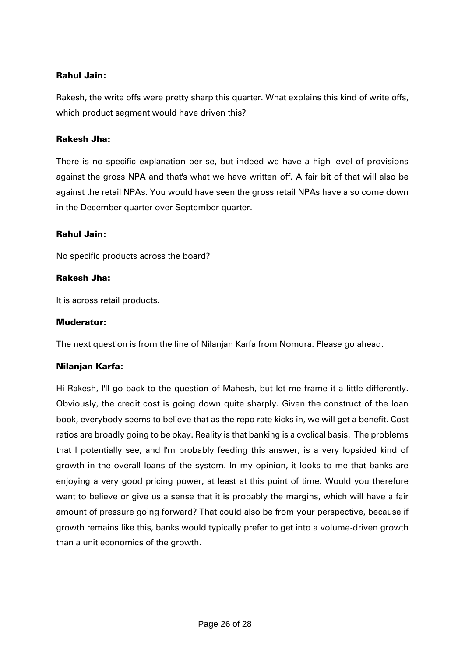# Rahul Jain:

Rakesh, the write offs were pretty sharp this quarter. What explains this kind of write offs, which product segment would have driven this?

### Rakesh Jha:

There is no specific explanation per se, but indeed we have a high level of provisions against the gross NPA and that's what we have written off. A fair bit of that will also be against the retail NPAs. You would have seen the gross retail NPAs have also come down in the December quarter over September quarter.

#### Rahul Jain:

No specific products across the board?

#### Rakesh Jha:

It is across retail products.

#### Moderator:

The next question is from the line of Nilanjan Karfa from Nomura. Please go ahead.

#### Nilanjan Karfa:

Hi Rakesh, I'll go back to the question of Mahesh, but let me frame it a little differently. Obviously, the credit cost is going down quite sharply. Given the construct of the loan book, everybody seems to believe that as the repo rate kicks in, we will get a benefit. Cost ratios are broadly going to be okay. Reality is that banking is a cyclical basis. The problems that I potentially see, and I'm probably feeding this answer, is a very lopsided kind of growth in the overall loans of the system. In my opinion, it looks to me that banks are enjoying a very good pricing power, at least at this point of time. Would you therefore want to believe or give us a sense that it is probably the margins, which will have a fair amount of pressure going forward? That could also be from your perspective, because if growth remains like this, banks would typically prefer to get into a volume-driven growth than a unit economics of the growth.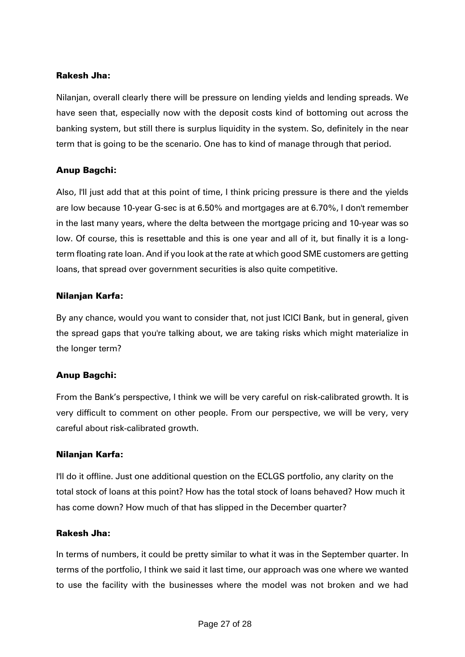Nilanjan, overall clearly there will be pressure on lending yields and lending spreads. We have seen that, especially now with the deposit costs kind of bottoming out across the banking system, but still there is surplus liquidity in the system. So, definitely in the near term that is going to be the scenario. One has to kind of manage through that period.

# Anup Bagchi:

Also, I'll just add that at this point of time, I think pricing pressure is there and the yields are low because 10-year G-sec is at 6.50% and mortgages are at 6.70%, I don't remember in the last many years, where the delta between the mortgage pricing and 10-year was so low. Of course, this is resettable and this is one year and all of it, but finally it is a longterm floating rate loan. And if you look at the rate at which good SME customers are getting loans, that spread over government securities is also quite competitive.

# Nilanjan Karfa:

By any chance, would you want to consider that, not just ICICI Bank, but in general, given the spread gaps that you're talking about, we are taking risks which might materialize in the longer term?

# Anup Bagchi:

From the Bank's perspective, I think we will be very careful on risk-calibrated growth. It is very difficult to comment on other people. From our perspective, we will be very, very careful about risk-calibrated growth.

#### Nilanjan Karfa:

I'll do it offline. Just one additional question on the ECLGS portfolio, any clarity on the total stock of loans at this point? How has the total stock of loans behaved? How much it has come down? How much of that has slipped in the December quarter?

#### Rakesh Jha:

In terms of numbers, it could be pretty similar to what it was in the September quarter. In terms of the portfolio, I think we said it last time, our approach was one where we wanted to use the facility with the businesses where the model was not broken and we had